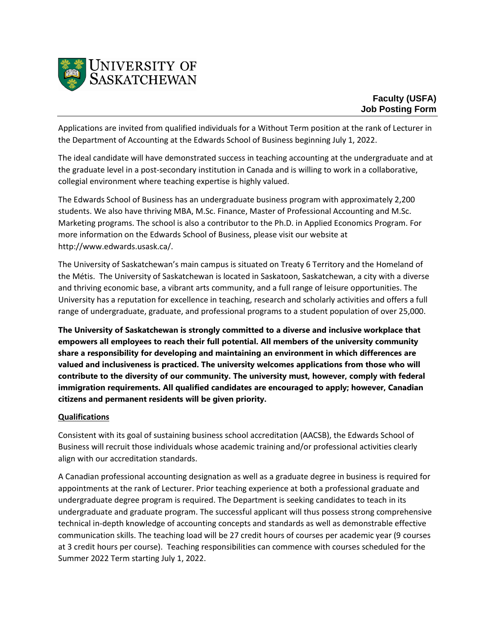

Applications are invited from qualified individuals for a Without Term position at the rank of Lecturer in the Department of Accounting at the Edwards School of Business beginning July 1, 2022.

The ideal candidate will have demonstrated success in teaching accounting at the undergraduate and at the graduate level in a post-secondary institution in Canada and is willing to work in a collaborative, collegial environment where teaching expertise is highly valued.

The Edwards School of Business has an undergraduate business program with approximately 2,200 students. We also have thriving MBA, M.Sc. Finance, Master of Professional Accounting and M.Sc. Marketing programs. The school is also a contributor to the Ph.D. in Applied Economics Program. For more information on the Edwards School of Business, please visit our website at http://www.edwards.usask.ca/.

The University of Saskatchewan's main campus is situated on Treaty 6 Territory and the Homeland of the Métis. The University of Saskatchewan is located in Saskatoon, Saskatchewan, a city with a diverse and thriving economic base, a vibrant arts community, and a full range of leisure opportunities. The University has a reputation for excellence in teaching, research and scholarly activities and offers a full range of undergraduate, graduate, and professional programs to a student population of over 25,000.

**The University of Saskatchewan is strongly committed to a diverse and inclusive workplace that empowers all employees to reach their full potential. All members of the university community share a responsibility for developing and maintaining an environment in which differences are valued and inclusiveness is practiced. The university welcomes applications from those who will contribute to the diversity of our community. The university must, however, comply with federal immigration requirements. All qualified candidates are encouraged to apply; however, Canadian citizens and permanent residents will be given priority.**

## **Qualifications**

Consistent with its goal of sustaining business school accreditation (AACSB), the Edwards School of Business will recruit those individuals whose academic training and/or professional activities clearly align with our accreditation standards.

A Canadian professional accounting designation as well as a graduate degree in business is required for appointments at the rank of Lecturer. Prior teaching experience at both a professional graduate and undergraduate degree program is required. The Department is seeking candidates to teach in its undergraduate and graduate program. The successful applicant will thus possess strong comprehensive technical in-depth knowledge of accounting concepts and standards as well as demonstrable effective communication skills. The teaching load will be 27 credit hours of courses per academic year (9 courses at 3 credit hours per course). Teaching responsibilities can commence with courses scheduled for the Summer 2022 Term starting July 1, 2022.